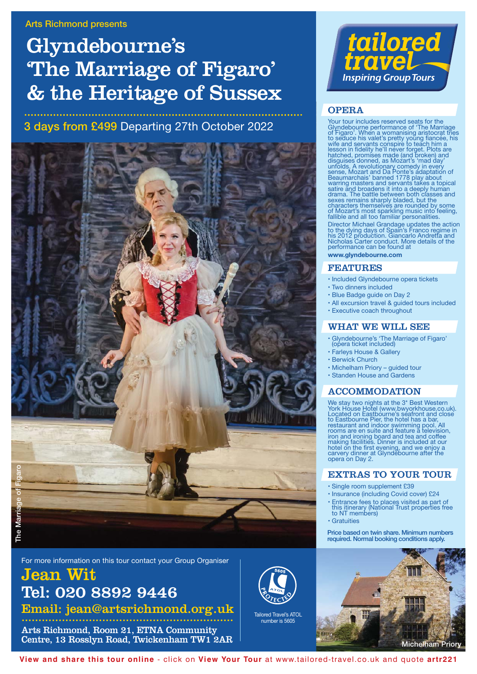# Glyndebourne's 'The Marriage of Figaro' & the Heritage of Sussex

## **3 days from £499** Departing 27th October 2022



For more information on this tour contact your Group Organiser

## Jean Wit Tel: 020 8892 9446 Email: jean@artsrichmond.org.uk

............................................................... Arts Richmond, Room 21, ETNA Community

Centre, 13 Rosslyn Road, Twickenham TW1 2AR



## **OPERA**

Your tour includes reserved seats for the<br>Glyndebourne performance of The Marriage<br>of Figaro'. When a womanising aristocrat tries<br>to seduce his valet's pretty young fiancée, his<br>wife and servants conspire to teach him a<br>le

Director Michael Grandage updates the action to the dying days of Spain's Franco regime in his 2012 production. Giancarlo Andretta and Nicholas Carter conduct. More details of the performance can be found at **www.glyndebourne.com**

### FEATURES

- Included Glyndebourne opera tickets
- Two dinners included
- Blue Badge guide on Day 2
- All excursion travel & guided tours included
- Executive coach throughout

## WHAT WE WILL SEE

- Glyndebourne's 'The Marriage of Figaro' (opera ticket included)
- Farleys House & Gallery
- Berwick Church
- Michelham Priory guided tour
- Standen House and Gardens

## ACCOMMODATION

We stay two nights at the 3\* Best Western<br>York House Hotel (www.bwyorkhouse.co.uk).<br>Located on Eastbourne's seafront and close<br>to Eastbourne Pier, the hotel has a bar,<br>restaurant and indoor swimming pool. All<br>rooms are en iron and ironing board and tea and coffee making facilities. Dinner is included at our hotel on the first evening, and we enjoy a carvery dinner at Glyndebourne after the opera on Day 2.

## EXTRAS TO YOUR TOUR

- Single room supplement £39
- Insurance (including Covid cover) £24
- Entrance fees to places visited as part of this itinerary (National Trust properties free to NT members)
- Gratuities

**Price based on twin share. Minimum numbers required. Normal booking conditions apply.**



**View and share this tour online** - click on **View Your Tour** at www.tailored-travel.co.uk and quote **artr221**

Tailored Travel's ATOL number is 5605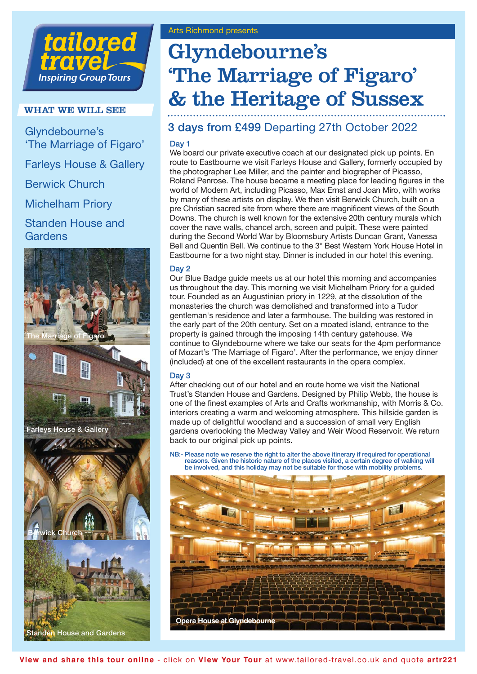## tailored **rave Inspiring Group Tours**

## WHAT WE WILL SEE

Glyndebourne's 'The Marriage of Figaro' Farleys House & Gallery Berwick Church Michelham Priory Standen House and Gardens



# Glyndebourne's 'The Marriage of Figaro' & the Heritage of Sussex

## **3 days from £499** Departing 27th October 2022

## **Day 1**

We board our private executive coach at our designated pick up points. En route to Eastbourne we visit Farleys House and Gallery, formerly occupied by the photographer Lee Miller, and the painter and biographer of Picasso, Roland Penrose. The house became a meeting place for leading figures in the world of Modern Art, including Picasso, Max Ernst and Joan Miro, with works by many of these artists on display. We then visit Berwick Church, built on a pre Christian sacred site from where there are magnificent views of the South Downs. The church is well known for the extensive 20th century murals which cover the nave walls, chancel arch, screen and pulpit. These were painted during the Second World War by Bloomsbury Artists Duncan Grant, Vanessa Bell and Quentin Bell. We continue to the 3\* Best Western York House Hotel in Eastbourne for a two night stay. Dinner is included in our hotel this evening.

## **Day 2**

Our Blue Badge guide meets us at our hotel this morning and accompanies us throughout the day. This morning we visit Michelham Priory for a guided tour. Founded as an Augustinian priory in 1229, at the dissolution of the monasteries the church was demolished and transformed into a Tudor gentleman's residence and later a farmhouse. The building was restored in the early part of the 20th century. Set on a moated island, entrance to the property is gained through the imposing 14th century gatehouse. We continue to Glyndebourne where we take our seats for the 4pm performance of Mozart's 'The Marriage of Figaro'. After the performance, we enjoy dinner (included) at one of the excellent restaurants in the opera complex.

## **Day 3**

After checking out of our hotel and en route home we visit the National Trust's Standen House and Gardens. Designed by Philip Webb, the house is one of the finest examples of Arts and Crafts workmanship, with Morris & Co. interiors creating a warm and welcoming atmosphere. This hillside garden is made up of delightful woodland and a succession of small very English gardens overlooking the Medway Valley and Weir Wood Reservoir. We return back to our original pick up points.

**NB:- Please note we reserve the right to alter the above itinerary if required for operational reasons. Given the historic nature of the places visited, a certain degree of walking will be involved, and this holiday may not be suitable for those with mobility problems.** 

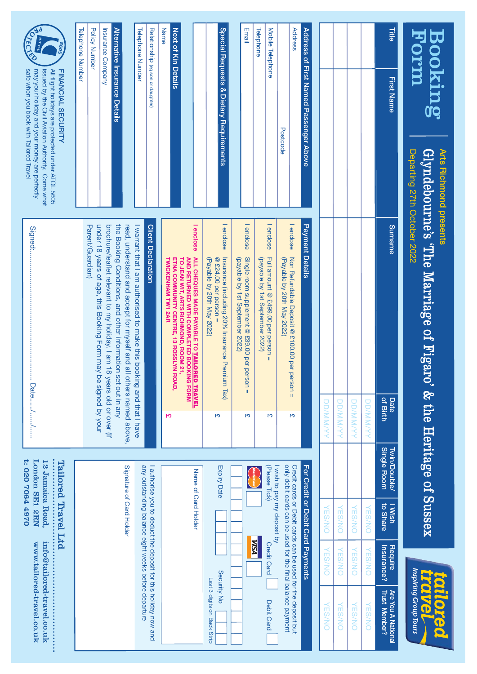| Booking                                                                                                                                                                                        | Departing 27th October 2022<br>Arts Richmond presents |                           | $\operatorname{Glyndebourne's}$ The Marriage of Figaro' & the Heritage of Sussex                                                          |                   |                                                            |                                   |                                                      | Inspiring Group Tours<br>DIL<br>ONZE<br>b<br><b>OC</b>         |
|------------------------------------------------------------------------------------------------------------------------------------------------------------------------------------------------|-------------------------------------------------------|---------------------------|-------------------------------------------------------------------------------------------------------------------------------------------|-------------------|------------------------------------------------------------|-----------------------------------|------------------------------------------------------|----------------------------------------------------------------|
| Title<br>First Name                                                                                                                                                                            |                                                       | Surname                   | Date                                                                                                                                      | of Birth          | <b>Twin/Double/</b><br>Single Room                         | to Share<br><b>I Wish</b>         | Insurance?<br>Require                                | Are You A National<br><b>Trust Member?</b>                     |
|                                                                                                                                                                                                |                                                       |                           |                                                                                                                                           | <b>DD/MM/YYY</b>  |                                                            | <b>VES/NO</b>                     | <b>VES/NO</b>                                        | <b>NSSNO</b>                                                   |
|                                                                                                                                                                                                |                                                       |                           |                                                                                                                                           | <b>DD/MM/YYY</b>  |                                                            | <b>NSSNY</b>                      | <b>VES/NO</b>                                        | <b>NSSIN</b>                                                   |
|                                                                                                                                                                                                |                                                       |                           |                                                                                                                                           | <b>DD/MM/YYYY</b> |                                                            | <b>VES/NO</b>                     | <b>VES/NO</b>                                        | <b>VES/NO</b>                                                  |
|                                                                                                                                                                                                |                                                       |                           |                                                                                                                                           | <b>DDIMM/Y/Y</b>  |                                                            | ON/S3.                            | <b>VES/NO</b>                                        | <b>VES/NO</b>                                                  |
| Address of First Named Passenger Above                                                                                                                                                         |                                                       | Payment Details           |                                                                                                                                           |                   |                                                            | For Credit or Debit Card Payments |                                                      |                                                                |
| Address                                                                                                                                                                                        |                                                       | I enclose                 | Non Refundable Deposit @ £100.00 per person =                                                                                             | σ٦                |                                                            |                                   |                                                      | Credit cards or Debit cards can be used for the deposit but    |
|                                                                                                                                                                                                | Postcode                                              |                           | (Payable by 20th May 2022)                                                                                                                |                   |                                                            |                                   |                                                      | only debit cards can be used for the final balance payment     |
| Mobile Telephone                                                                                                                                                                               |                                                       | I enclose                 | Full amount @ £499.00 per person<br>$\mathbf{II}$                                                                                         | m                 | (Please Tick)                                              | I wish to pay my deposit by       | <b>Credit Card</b>                                   | Debit Card                                                     |
| Telephone                                                                                                                                                                                      |                                                       |                           | (payable by 1st September 2022)                                                                                                           |                   |                                                            |                                   | <b>NSN</b>                                           |                                                                |
| Email                                                                                                                                                                                          |                                                       | I enclose                 | Single room supplement @ £39.00 per person =<br>(payable by 1st September 2022)                                                           | m                 |                                                            |                                   |                                                      |                                                                |
| Special Requests & Dietary Requirements                                                                                                                                                        |                                                       | I enclose                 | Insurance (including 20% Insurance Premium Tax)<br>$@$ £24.00 per person =<br>(Payable by 20th May 2022)                                  | m                 | Expiry Date                                                |                                   |                                                      | Security No<br>Last 3 digits on Back Strip                     |
|                                                                                                                                                                                                |                                                       | I enclose                 | ALL CHEQUES MADE PAYABLE TO TAILORED TRAVEL<br>TO JEAN WIT, ARTS RICHMOND, ROOM 21,<br>AND RETURNED WITH COMPLETED BOOKING FORM           |                   | Name of Card Holder                                        |                                   |                                                      |                                                                |
| Next of Kin Details                                                                                                                                                                            |                                                       |                           | ETNA COMMUNITY CENTRE, 13 ROSSLYN ROAD,                                                                                                   |                   |                                                            |                                   |                                                      |                                                                |
| Name                                                                                                                                                                                           |                                                       |                           | <b>TWICKENHAM TW1 2AR</b>                                                                                                                 | رہر               |                                                            |                                   |                                                      |                                                                |
| Relationship (eg son or daughter)                                                                                                                                                              |                                                       | <b>Client Declaration</b> |                                                                                                                                           |                   |                                                            |                                   |                                                      | I authorise you to deduct the deposit for this holiday now and |
| <b>Telephone Number</b>                                                                                                                                                                        |                                                       |                           | read, understand and accept for myself and all others named above.<br>I warrant that I am authorised to make this booking and that I have |                   |                                                            | Signature of Card Holder          | any outstanding balance eight weeks before departure |                                                                |
| Alternative Insurance Details                                                                                                                                                                  |                                                       |                           | the Booking Conditions, and other information set out in any                                                                              |                   |                                                            |                                   |                                                      |                                                                |
| Insurance Company                                                                                                                                                                              |                                                       |                           | brochure/leaflet relevant to my holiday. I am 18 years old or over (If                                                                    |                   |                                                            |                                   |                                                      |                                                                |
| <b>Policy Number</b>                                                                                                                                                                           |                                                       | Parent/Guardian)          | under 18 years of age, this Booking Form may be signed by your                                                                            |                   |                                                            |                                   |                                                      |                                                                |
| Telephone Number                                                                                                                                                                               |                                                       |                           |                                                                                                                                           |                   |                                                            |                                   |                                                      |                                                                |
| <b>REGISTORY</b><br>safe when you book with Tailored Travel<br>may your holiday and your money are perfectly<br>All flight holidays are protected under ATOL 5605<br><b>FINANCIAL SECURITY</b> | issued by the Civil Aviation Authority. Come what     | Signed:                   |                                                                                                                                           | Date//            | 0702070644970<br><b>London SE1 2EN</b><br>12 Jamaica Road, | Tailored Travel Ltd               |                                                      | info@tailored-travel.co.uk<br>www.tailored-travel.co.uk        |